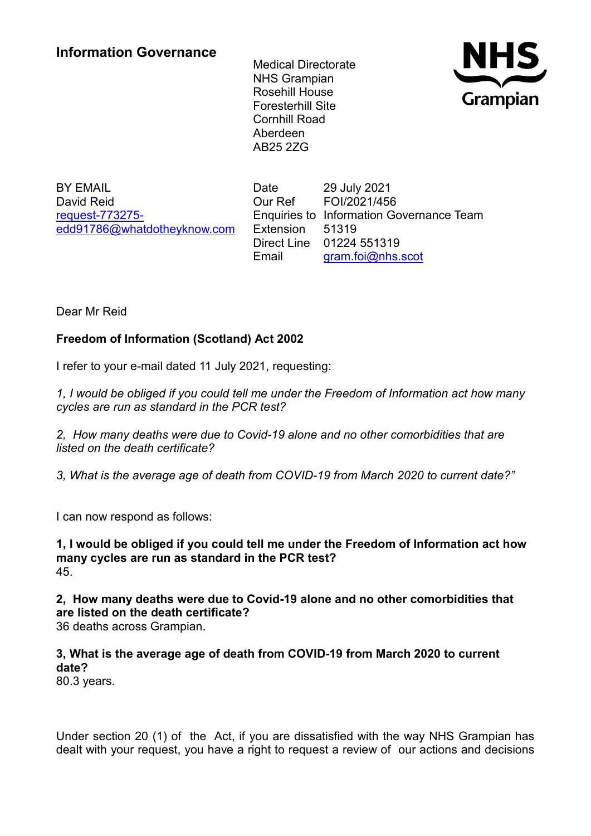Medical Directorate NHS Grampian Rosehill House Foresterhill Site Cornhill Road Aberdeen AB25 2ZG



BY EMAIL David Reid [request-773275](mailto:xxxxxxxxxxxxxxxxxxxxxxx@xxxxxxxxxxxxxx.xxx) [edd91786@whatdotheyknow.com](mailto:xxxxxxxxxxxxxxxxxxxxxxx@xxxxxxxxxxxxxx.xxx) Date 29 July 2021 Our Ref FOI/2021/456 Enquiries to Information Governance Team Extension 51319 Direct Line 01224 551319 Email [gram.foi@nhs.scot](mailto:xxxx.xxx@xxx.xxxx)

Dear Mr Reid

## **Freedom of Information (Scotland) Act 2002**

I refer to your e-mail dated 11 July 2021, requesting:

*1, I would be obliged if you could tell me under the Freedom of Information act how many cycles are run as standard in the PCR test?*

*2, How many deaths were due to Covid-19 alone and no other comorbidities that are listed on the death certificate?*

*3, What is the average age of death from COVID-19 from March 2020 to current date?"*

I can now respond as follows:

**1, I would be obliged if you could tell me under the Freedom of Information act how many cycles are run as standard in the PCR test?** 45.

**2, How many deaths were due to Covid-19 alone and no other comorbidities that are listed on the death certificate?**

36 deaths across Grampian.

## **3, What is the average age of death from COVID-19 from March 2020 to current date?**

80.3 years.

Under section 20 (1) of the Act, if you are dissatisfied with the way NHS Grampian has dealt with your request, you have a right to request a review of our actions and decisions